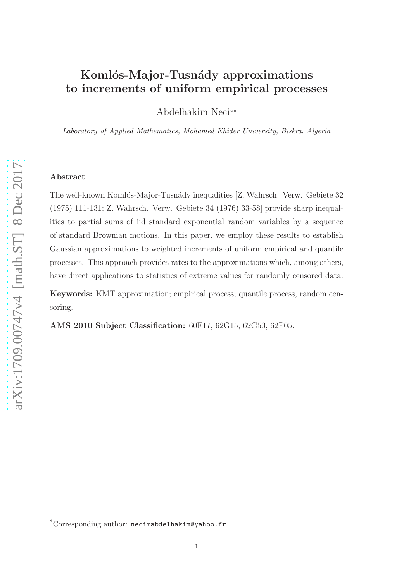# Komlós-Major-Tusnády approximations to increments of uniform empirical processes

Abdelhakim Necir<sup>∗</sup>

Laboratory of Applied Mathematics, Mohamed Khider University, Biskra, Algeria

## Abstract

The well-known Komlós-Major-Tusnády inequalities [Z. Wahrsch. Verw. Gebiete 32 (1975) 111-131; Z. Wahrsch. Verw. Gebiete 34 (1976) 33-58] provide sharp inequalities to partial sums of iid standard exponential random variables by a sequence of standard Brownian motions. In this paper, we employ these results to establish Gaussian approximations to weighted increments of uniform empirical and quantile processes. This approach provides rates to the approximations which, among others, have direct applications to statistics of extreme values for randomly censored data.

Keywords: KMT approximation; empirical process; quantile process, random censoring.

AMS 2010 Subject Classification: 60F17, 62G15, 62G50, 62P05.

<sup>\*</sup>Corresponding author: necirabdelhakim@yahoo.fr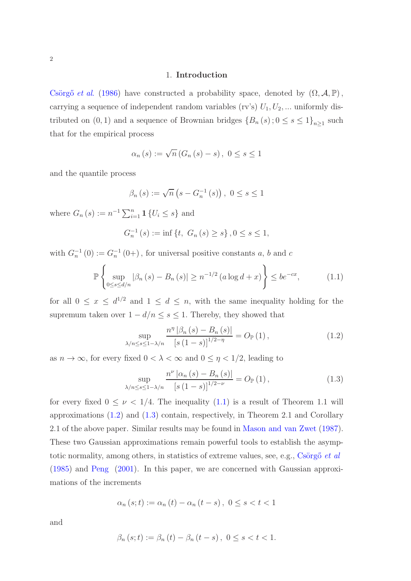#### 1. Introduction

Csörgő et al. [\(1986](#page-13-0)) have constructed a probability space, denoted by  $(\Omega, \mathcal{A}, \mathbb{P})$ , carrying a sequence of independent random variables (rv's)  $U_1, U_2, \ldots$  uniformly distributed on  $(0, 1)$  and a sequence of Brownian bridges  ${B_n(s)}$ ;  $0 \le s \le 1$ <sub>n≥1</sub> such that for the empirical process

$$
\alpha_n(s) := \sqrt{n} (G_n(s) - s), 0 \le s \le 1
$$

and the quantile process

$$
\beta_n(s) := \sqrt{n} (s - G_n^{-1}(s)), 0 \le s \le 1
$$

where  $G_n(s) := n^{-1} \sum_{i=1}^n \mathbf{1} \{ U_i \leq s \}$  and

$$
G_n^{-1}(s) := \inf \{ t, \ G_n(s) \ge s \}, 0 \le s \le 1,
$$

with  $G_n^{-1}(0) := G_n^{-1}(0+)$ , for universal positive constants a, b and c

<span id="page-1-0"></span>
$$
\mathbb{P}\left\{\sup_{0\leq s\leq d/n}|\beta_n(s)-B_n(s)|\geq n^{-1/2}\left(a\log d+x\right)\right\}\leq be^{-cx},\tag{1.1}
$$

for all  $0 \le x \le d^{1/2}$  and  $1 \le d \le n$ , with the same inequality holding for the supremum taken over  $1 - d/n \leq s \leq 1$ . Thereby, they showed that

<span id="page-1-1"></span>
$$
\sup_{\lambda/n \le s \le 1 - \lambda/n} \frac{n^{\eta} |\beta_n(s) - B_n(s)|}{[s (1 - s)]^{1/2 - \eta}} = O_{\mathbb{P}}(1),
$$
\n(1.2)

as  $n \to \infty$ , for every fixed  $0 < \lambda < \infty$  and  $0 \leq \eta < 1/2$ , leading to

<span id="page-1-2"></span>
$$
\sup_{\lambda/n \le s \le 1 - \lambda/n} \frac{n^{\nu} \left| \alpha_n(s) - B_n(s) \right|}{\left[ s \left( 1 - s \right) \right]^{1/2 - \nu}} = O_{\mathbb{P}}(1),\tag{1.3}
$$

for every fixed  $0 \leq \nu < 1/4$ . The inequality [\(1](#page-1-0).1) is a result of Theorem 1.1 will approximations [\(1](#page-1-1).2) and [\(1](#page-1-2).3) contain, respectively, in Theorem 2.1 and Corollary 2.1 of the above paper. Similar results may be found in [Mason and van Zwet](#page-13-1) [\(1987](#page-13-1)). These two Gaussian approximations remain powerful tools to establish the asymptotic normality, among others, in statistics of extreme values, see, e.g.,  $\overline{\text{Csorg}}$ <sup>o</sup> et al [\(1985\)](#page-13-2) and [Peng](#page-13-3) [\(2001\)](#page-13-3). In this paper, we are concerned with Gaussian approximations of the increments

$$
\alpha_n(s;t) := \alpha_n(t) - \alpha_n(t-s), \ 0 \le s < t < 1
$$

and

$$
\beta_n(s;t) := \beta_n(t) - \beta_n(t-s), \ 0 \le s < t < 1.
$$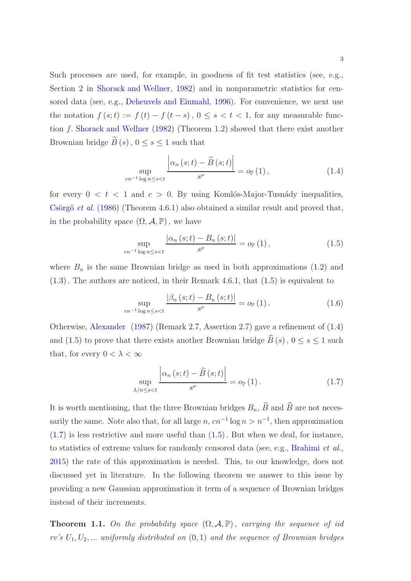Such processes are used, for example, in goodness of fit test statistics (see, e.g., Section 2 in [Shorack and Wellner](#page-13-4), [1982\)](#page-13-4) and in nonparametric statistics for censored data (see, e.g., [Deheuvels and Einmahl](#page-13-5), [1996\)](#page-13-5). For convenience, we next use the notation  $f(s; t) := f(t) - f(t - s)$ ,  $0 \le s < t < 1$ , for any measurable function f. [Shorack and Wellner](#page-13-4) [\(1982\)](#page-13-4) (Theorem 1.2) showed that there exist another Brownian bridge  $\widetilde{B}(s)$ ,  $0 \leq s \leq 1$  such that

<span id="page-2-1"></span>
$$
\sup_{cn^{-1}\log n \le s < t} \frac{\left|\alpha_n\left(s;t\right) - \widetilde{B}\left(s;t\right)\right|}{s^{\nu}} = o_{\mathbb{P}}\left(1\right),\tag{1.4}
$$

for every  $0 < t < 1$  and  $c > 0$ . By using Komlós-Major-Tusnády inequalities, Csörgő et al.  $(1986)$  $(1986)$  (Theorem 4.6.1) also obtained a similar result and proved that, in the probability space  $(\Omega, \mathcal{A}, \mathbb{P})$ , we have

<span id="page-2-0"></span>
$$
\sup_{cn^{-1}\log n \le s < t} \frac{|\alpha_n(s;t) - B_n(s;t)|}{s^{\nu}} = o_{\mathbb{P}}(1),
$$
\n(1.5)

where  $B_n$  is the same Brownian bridge as used in both approximations [\(1](#page-1-1).2) and (1.[3\)](#page-1-2). The authors are noticed, in their Remark 4.6.1, that [\(1](#page-2-0).5) is equivalent to

$$
\sup_{cn^{-1}\log n \le s < t} \frac{|\beta_n(s;t) - B_n(s;t)|}{s^{\nu}} = o_{\mathbb{P}}(1).
$$
 (1.6)

Otherwise, [Alexander](#page-12-0) [\(1987](#page-12-0)) (Remark 2.7, Assertion 2.7) gave a refinement of (1.[4\)](#page-2-1) and [\(1](#page-2-0).5) to prove that there exists another Brownian bridge  $\widehat{B}(s)$ ,  $0 \le s \le 1$  such that, for every  $0 < \lambda < \infty$ 

<span id="page-2-2"></span>
$$
\sup_{\lambda/n \le s < t} \frac{\left| \alpha_n(s;t) - \widehat{B}(s;t) \right|}{s^{\nu}} = o_{\mathbb{P}}(1).
$$
 (1.7)

It is worth mentioning, that the three Brownian bridges  $B_n$ ,  $\widetilde{B}$  and  $\widehat{B}$  are not necessarily the same. Note also that, for all large  $n, cn^{-1} \log n > n^{-1}$ , then approximation  $(1.7)$  $(1.7)$  is less restrictive and more useful than  $(1.5)$ . But when we deal, for instance, to statistics of extreme values for randomly censored data (see, e.g., [Brahimi](#page-12-1) et al., [2015\)](#page-12-1) the rate of this approximation is needed. This, to our knowledge, does not discussed yet in literature. In the following theorem we answer to this issue by providing a new Gaussian approximation it term of a sequence of Brownian bridges instead of their increments.

<span id="page-2-3"></span>**Theorem 1.1.** On the probability space  $(\Omega, \mathcal{A}, \mathbb{P})$ , carrying the sequence of iid rv's  $U_1, U_2, \ldots$  uniformly distributed on  $(0, 1)$  and the sequence of Brownian bridges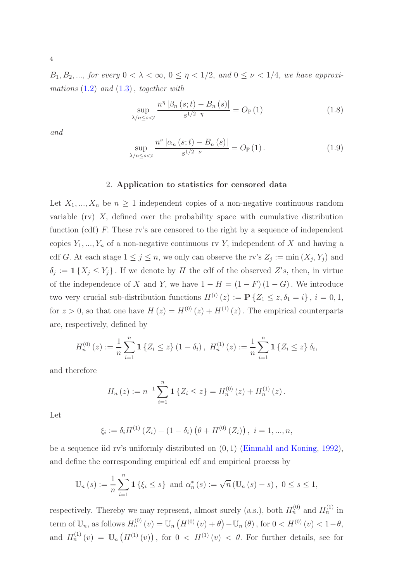$B_1, B_2, \ldots$ , for every  $0 < \lambda < \infty$ ,  $0 \leq \eta < 1/2$ , and  $0 \leq \nu < 1/4$ , we have approximations  $(1.2)$  $(1.2)$  and  $(1.3)$ , together with

$$
\sup_{\lambda/n \le s < t} \frac{n^{\eta} |\beta_n(s;t) - B_n(s)|}{s^{1/2 - \eta}} = O_{\mathbb{P}}(1)
$$
\n(1.8)

and

<span id="page-3-0"></span>
$$
\sup_{\lambda/n \le s < t} \frac{n^{\nu} |\alpha_n(s;t) - B_n(s)|}{s^{1/2 - \nu}} = O_{\mathbb{P}}(1).
$$
 (1.9)

### 2. Application to statistics for censored data

Let  $X_1, ..., X_n$  be  $n \geq 1$  independent copies of a non-negative continuous random variable (rv)  $X$ , defined over the probability space with cumulative distribution function (cdf) F. These rv's are censored to the right by a sequence of independent copies  $Y_1, ..., Y_n$  of a non-negative continuous rv Y, independent of X and having a cdf G. At each stage  $1 \leq j \leq n$ , we only can observe the rv's  $Z_j := \min(X_j, Y_j)$  and  $\delta_j := \mathbf{1}\{X_j \le Y_j\}$ . If we denote by H the cdf of the observed  $Z's$ , then, in virtue of the independence of X and Y, we have  $1 - H = (1 - F)(1 - G)$ . We introduce two very crucial sub-distribution functions  $H^{(i)}(z) := \mathbf{P} \{ Z_1 \leq z, \delta_1 = i \}$ ,  $i = 0, 1$ , for  $z > 0$ , so that one have  $H(z) = H^{(0)}(z) + H^{(1)}(z)$ . The empirical counterparts are, respectively, defined by

$$
H_n^{(0)}(z) := \frac{1}{n} \sum_{i=1}^n \mathbf{1} \left\{ Z_i \le z \right\} (1 - \delta_i), \ H_n^{(1)}(z) := \frac{1}{n} \sum_{i=1}^n \mathbf{1} \left\{ Z_i \le z \right\} \delta_i,
$$

and therefore

$$
H_n(z) := n^{-1} \sum_{i=1}^n \mathbf{1} \{ Z_i \le z \} = H_n^{(0)}(z) + H_n^{(1)}(z).
$$

Let

$$
\xi_i := \delta_i H^{(1)}(Z_i) + (1 - \delta_i) \left( \theta + H^{(0)}(Z_i) \right), \ i = 1, ..., n,
$$

be a sequence iid rv's uniformly distributed on (0, 1) [\(Einmahl and Koning,](#page-13-6) [1992](#page-13-6)), and define the corresponding empirical cdf and empirical process by

$$
\mathbb{U}_{n}(s) := \frac{1}{n} \sum_{i=1}^{n} \mathbf{1} \left\{ \xi_{i} \leq s \right\} \text{ and } \alpha_{n}^{*}(s) := \sqrt{n} \left( \mathbb{U}_{n}(s) - s \right), \ 0 \leq s \leq 1,
$$

respectively. Thereby we may represent, almost surely (a.s.), both  $H_n^{(0)}$  and  $H_n^{(1)}$  in term of  $\mathbb{U}_n$ , as follows  $H_n^{(0)}(v) = \mathbb{U}_n(H^{(0)}(v) + \theta) - \mathbb{U}_n(\theta)$ , for  $0 < H^{(0)}(v) < 1 - \theta$ , and  $H_n^{(1)}(v) = U_n\left(H^{(1)}(v)\right)$ , for  $0 < H^{(1)}(v) < \theta$ . For further details, see for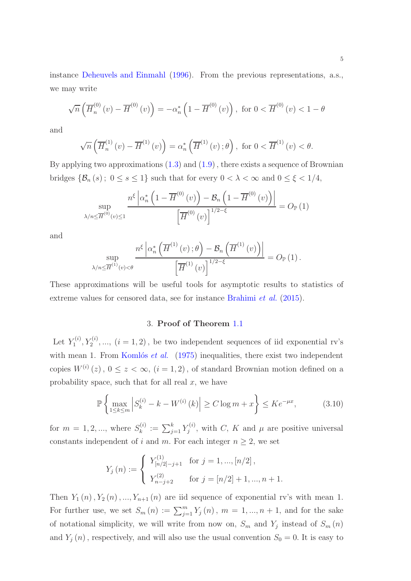instance [Deheuvels and Einmahl](#page-13-5) [\(1996](#page-13-5)). From the previous representations, a.s., we may write

$$
\sqrt{n}\left(\overline{H}_n^{(0)}\left(v\right) - \overline{H}^{(0)}\left(v\right)\right) = -\alpha_n^* \left(1 - \overline{H}^{(0)}\left(v\right)\right), \text{ for } 0 < \overline{H}^{(0)}\left(v\right) < 1 - \theta
$$

and

$$
\sqrt{n}\left(\overline{H}_n^{(1)}\left(v\right)-\overline{H}^{(1)}\left(v\right)\right)=\alpha_n^*\left(\overline{H}^{(1)}\left(v\right);\theta\right), \text{ for } 0<\overline{H}^{(1)}\left(v\right)<\theta.
$$

By applying two approximations  $(1.3)$  and  $(1.9)$  $(1.9)$ , there exists a sequence of Brownian bridges  $\{\mathcal{B}_n(s); 0 \le s \le 1\}$  such that for every  $0 < \lambda < \infty$  and  $0 \le \xi < 1/4$ ,

$$
\sup_{\lambda/n \leq \overline{H}^{(0)}(v) \leq 1} \frac{n^{\xi} \left| \alpha_n^* \left( 1 - \overline{H}^{(0)}(v) \right) - \mathcal{B}_n \left( 1 - \overline{H}^{(0)}(v) \right) \right|}{\left[ \overline{H}^{(0)}(v) \right]^{1/2 - \xi}} = O_{\mathbb{P}}(1)
$$

and

$$
\sup_{\lambda/n \leq \overline{H}^{(1)}(v) < \theta} \frac{n^{\xi} \left| \alpha_n^* \left( \overline{H}^{(1)}(v) \, ; \theta \right) - \mathcal{B}_n \left( \overline{H}^{(1)}(v) \right) \right|}{\left[ \overline{H}^{(1)}(v) \right]^{1/2 - \xi}} = O_{\mathbb{P}}(1).
$$

These approximations will be useful tools for asymptotic results to statistics of extreme values for censored data, see for instance [Brahimi](#page-12-1) et al. [\(2015](#page-12-1)).

## 3. Proof of Theorem [1](#page-2-3).1

Let  $Y_1^{(i)}$  $Y_1^{(i)}, Y_2^{(i)}, \ldots, (i-1, 2)$ , be two independent sequences of iid exponential rv's with mean 1. From Komlós et al.  $(1975)$  $(1975)$  inequalities, there exist two independent copies  $W^{(i)}(z)$ ,  $0 \le z < \infty$ ,  $(i = 1, 2)$ , of standard Brownian motion defined on a probability space, such that for all real  $x$ , we have

$$
\mathbb{P}\left\{\max_{1\leq k\leq m} \left|S_k^{(i)} - k - W^{(i)}\left(k\right)\right| \geq C \log m + x\right\} \leq Ke^{-\mu x},\tag{3.10}
$$

for  $m = 1, 2, ...,$  where  $S_k^{(i)}$  $\mathcal{E}_k^{(i)} \, := \, \sum_{j=1}^k Y_j^{(i)}$  $j^{(i)}$ , with C, K and  $\mu$  are positive universal constants independent of i and m. For each integer  $n \geq 2$ , we set

$$
Y_j(n) := \begin{cases} Y_{[n/2]-j+1}^{(1)} & \text{for } j = 1, ..., [n/2], \\ Y_{n-j+2}^{(2)} & \text{for } j = [n/2]+1, ..., n+1. \end{cases}
$$

Then  $Y_1(n), Y_2(n), ..., Y_{n+1}(n)$  are iid sequence of exponential rv's with mean 1. For further use, we set  $S_m(n) := \sum_{j=1}^m Y_j(n)$ ,  $m = 1, ..., n + 1$ , and for the sake of notational simplicity, we will write from now on,  $S_m$  and  $Y_j$  instead of  $S_m(n)$ and  $Y_j(n)$ , respectively, and will also use the usual convention  $S_0 = 0$ . It is easy to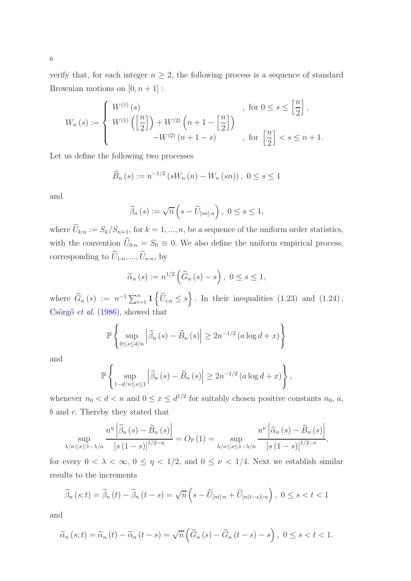verify that, for each integer  $n \geq 2$ , the following process is a sequence of standard Brownian motions on  $[0, n + 1]$ :

$$
W_n(s) := \begin{cases} W^{(1)}(s) & \text{for } 0 \le s \le \left[\frac{n}{2}\right], \\ W^{(1)}\left(\left[\frac{n}{2}\right]\right) + W^{(2)}\left(n+1-\left[\frac{n}{2}\right]\right) & \text{for } \left[\frac{n}{2}\right] < s \le n+1. \end{cases}
$$

Let us define the following two processes

$$
\widetilde{B}_{n}(s) := n^{-1/2} (sW_{n}(n) - W_{n}(sn)), \ 0 \le s \le 1
$$

and

$$
\widetilde{\beta}_n(s) := \sqrt{n} \left( s - \widetilde{U}_{[sn]:n} \right), \ 0 \le s \le 1,
$$

where  $\tilde{U}_{k:n} := S_k/S_{n+1}$ , for  $k = 1, ..., n$ , be a sequence of the uniform order statistics, with the convention  $\tilde{U}_{0:n} = S_0 \equiv 0$ . We also define the uniform empirical process, corresponding to  $\widetilde{U}_{1:n},...,\widetilde{U}_{n:n}$ , by

$$
\widetilde{\alpha}_n(s) := n^{1/2} \left( \widetilde{G}_n(s) - s \right), \ 0 \le s \le 1,
$$

where  $\widetilde{G}_n(s) := n^{-1} \sum_{i=1}^n \mathbf{1} \left\{ \widetilde{U}_{i:n} \leq s \right\}$ . In their inequalities (1.23) and (1.24), Csörgő et al.  $(1986)$ , showed that

$$
\mathbb{P}\left\{\sup_{0\leq s\leq d/n} \left|\widetilde{\beta}_n\left(s\right)-\widetilde{B}_n\left(s\right)\right|\geq 2n^{-1/2}\left(a\log d+x\right)\right\}
$$

and

$$
\mathbb{P}\left\{\sup_{1-d/n\leq s\leq 1}\left|\widetilde{\beta}_{n}\left(s\right)-\widetilde{B}_{n}\left(s\right)\right|\geq 2n^{-1/2}\left(a\log d+x\right)\right\},\right\}
$$

whenever  $n_0 < d < n$  and  $0 \le x \le d^{1/2}$  for suitably chosen positive constants  $n_0, a$ , b and c. Thereby they stated that

$$
\sup_{\lambda/n \le s \le 1-\lambda/n} \frac{n^{\eta} \left| \widetilde{\beta}_n(s) - \widetilde{B}_n(s) \right|}{\left[ s \left( 1 - s \right) \right]^{1/2 - \eta}} = O_{\mathbb{P}}(1) = \sup_{\lambda/n \le s \le 1-\lambda/n} \frac{n^{\nu} \left| \widetilde{\alpha}_n(s) - \widetilde{B}_n(s) \right|}{\left[ s \left( 1 - s \right) \right]^{1/2 - \nu}},
$$

for every  $0 < \lambda < \infty$ ,  $0 \le \eta < 1/2$ , and  $0 \le \nu < 1/4$ . Next we establish similar results to the increments

$$
\widetilde{\beta}_n(s;t) = \widetilde{\beta}_n(t) - \widetilde{\beta}_n(t-s) = \sqrt{n}\left(s - \widetilde{U}_{[nt]:n} + \widetilde{U}_{[n(t-s):n}\right), \ 0 \le s < t < 1
$$

and

$$
\widetilde{\alpha}_{n}(s;t) = \widetilde{\alpha}_{n}(t) - \widetilde{\alpha}_{n}(t-s) = \sqrt{n}\left(\widetilde{G}_{n}(s) - \widetilde{G}_{n}(t-s) - s\right), \ 0 \le s < t < 1.
$$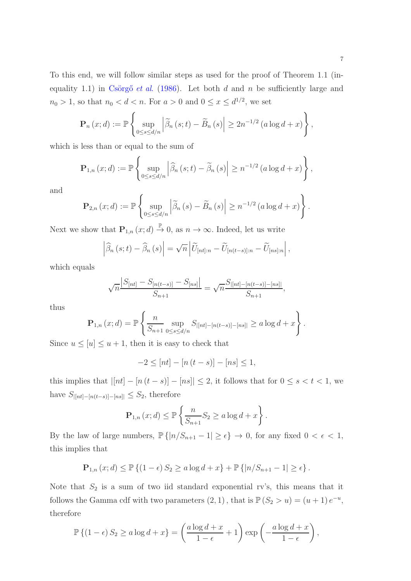$$
\mathbf{P}_n(x;d) := \mathbb{P}\left\{\sup_{0\leq s\leq d/n} \left|\widetilde{\beta}_n(s;t) - \widetilde{B}_n(s)\right| \geq 2n^{-1/2} \left(a\log d + x\right)\right\},\,
$$

which is less than or equal to the sum of

$$
\mathbf{P}_{1,n}(x; d) := \mathbb{P}\left\{\sup_{0\leq s\leq d/n} \left|\widehat{\beta}_n(s;t) - \widetilde{\beta}_n(s)\right| \geq n^{-1/2} \left(a\log d + x\right)\right\},\,
$$

and

$$
\mathbf{P}_{2,n}(x; d) := \mathbb{P}\left\{\sup_{0\leq s\leq d/n} \left|\widetilde{\beta}_n(s) - \widetilde{B}_n(s)\right| \geq n^{-1/2} \left(a\log d + x\right)\right\}.
$$

Next we show that  $\mathbf{P}_{1,n}(x; d) \stackrel{\mathbb{P}}{\rightarrow} 0$ , as  $n \rightarrow \infty$ . Indeed, let us write

$$
\left|\widehat{\beta}_n(s;t)-\widehat{\beta}_n(s)\right|=\sqrt{n}\left|\widetilde{U}_{[nt]:n}-\widetilde{U}_{[n(t-s):n}-\widetilde{U}_{[ns]:n}\right|,
$$

which equals

$$
\sqrt{n}\frac{|S_{[nt]}-S_{[n(t-s)]}-S_{[ns]}|}{S_{n+1}} = \sqrt{n}\frac{S_{|[nt]-[n(t-s)]-[ns]|}}{S_{n+1}},
$$

thus

$$
\mathbf{P}_{1,n}(x; d) = \mathbb{P}\left\{\frac{n}{S_{n+1}} \sup_{0 \le s \le d/n} S_{|[nt]-[n(t-s)]-[ns]|} \ge a \log d + x\right\}.
$$

Since  $u \leq [u] \leq u+1$ , then it is easy to check that

$$
-2 \le [nt] - [n(t - s)] - [ns] \le 1,
$$

this implies that  $|[nt] - [n(t - s)] - [ns]| \leq 2$ , it follows that for  $0 \leq s < t < 1$ , we have  $S_{|[nt]-[n(t-s)]-[ns]]} \leq S_2$ , therefore

$$
\mathbf{P}_{1,n}(x;d) \le \mathbb{P}\left\{\frac{n}{S_{n+1}}S_2 \ge a\log d + x\right\}.
$$

By the law of large numbers,  $\mathbb{P}\{|n/S_{n+1}-1|\geq \epsilon\}\to 0$ , for any fixed  $0<\epsilon<1$ , this implies that

$$
\mathbf{P}_{1,n}(x; d) \le \mathbb{P}\left\{(1-\epsilon) S_2 \ge a \log d + x\right\} + \mathbb{P}\left\{|n/S_{n+1} - 1| \ge \epsilon\right\}.
$$

Note that  $S_2$  is a sum of two iid standard exponential rv's, this means that it follows the Gamma cdf with two parameters  $(2, 1)$ , that is  $\mathbb{P}(S_2 > u) = (u + 1) e^{-u}$ , therefore

$$
\mathbb{P}\left\{(1-\epsilon) S_2 \ge a \log d + x\right\} = \left(\frac{a \log d + x}{1-\epsilon} + 1\right) \exp\left(-\frac{a \log d + x}{1-\epsilon}\right),\,
$$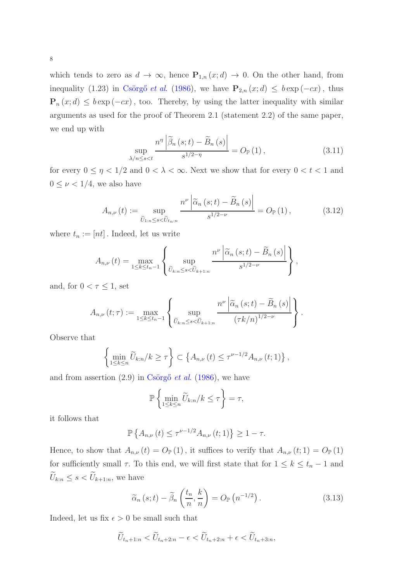8

which tends to zero as  $d \to \infty$ , hence  $P_{1,n}(x; d) \to 0$ . On the other hand, from inequality (1.23) in Csörgő et al. [\(1986](#page-13-0)), we have  $P_{2,n}(x; d) \leq b \exp(-cx)$ , thus  $\mathbf{P}_n(x; d) \leq b \exp(-cx)$ , too. Thereby, by using the latter inequality with similar arguments as used for the proof of Theorem 2.1 (statement 2.2) of the same paper, we end up with

<span id="page-7-1"></span>
$$
\sup_{\lambda/n \le s < t} \frac{n^{\eta} \left| \widetilde{\beta}_n \left( s; t \right) - \widetilde{B}_n \left( s \right) \right|}{s^{1/2 - \eta}} = O_{\mathbb{P}} \left( 1 \right),\tag{3.11}
$$

for every  $0 \leq \eta < 1/2$  and  $0 < \lambda < \infty$ . Next we show that for every  $0 < t < 1$  and  $0 \leq \nu < 1/4$ , we also have

<span id="page-7-2"></span>
$$
A_{n,\nu}(t) := \sup_{\widetilde{U}_{1:n} \le s < \widetilde{U}_{t_n:n}} \frac{n^{\nu} \left| \widetilde{\alpha}_n \left(s; t\right) - \widetilde{B}_n \left(s\right) \right|}{s^{1/2 - \nu}} = O_{\mathbb{P}}\left(1\right),\tag{3.12}
$$

where  $t_n := [nt]$ . Indeed, let us write

$$
A_{n,\nu}(t) = \max_{1 \leq k \leq t_n-1} \left\{ \sup_{\widetilde{U}_{k:n} \leq s < \widetilde{U}_{k+1:n}} \frac{n^{\nu} \left| \widetilde{\alpha}_n(s;t) - \widetilde{B}_n(s) \right|}{s^{1/2-\nu}} \right\},\,
$$

and, for  $0 < \tau \leq 1$ , set

$$
A_{n,\nu}(t;\tau) := \max_{1 \leq k \leq t_n-1} \left\{ \sup_{\widetilde{U}_{k:n} \leq s < \widetilde{U}_{k+1:n}} \frac{n^{\nu} \left| \widetilde{\alpha}_n(s;t) - \widetilde{B}_n(s) \right|}{(\tau k/n)^{1/2-\nu}} \right\}.
$$

Observe that

$$
\left\{\min_{1\leq k\leq n}\widetilde{U}_{k:n}/k\geq\tau\right\}\subset\left\{A_{n,\nu}\left(t\right)\leq\tau^{\nu-1/2}A_{n,\nu}\left(t;1\right)\right\},\right\}
$$

and from assertion  $(2.9)$  in Csörgő *et al.* [\(1986\)](#page-13-0), we have

$$
\mathbb{P}\left\{\min_{1\leq k\leq n}\widetilde{U}_{k:n}/k\leq\tau\right\}=\tau,
$$

it follows that

$$
\mathbb{P}\left\{A_{n,\nu}(t) \le \tau^{\nu-1/2} A_{n,\nu}(t;1)\right\} \ge 1 - \tau.
$$

Hence, to show that  $A_{n,\nu}(t) = O_{\mathbb{P}}(1)$ , it suffices to verify that  $A_{n,\nu}(t;1) = O_{\mathbb{P}}(1)$ for sufficiently small  $\tau$ . To this end, we will first state that for  $1 \leq k \leq t_n - 1$  and  $\widetilde{U}_{k:n} \leq s < \widetilde{U}_{k+1:n},$  we have

<span id="page-7-0"></span>
$$
\widetilde{\alpha}_n(s;t) - \widetilde{\beta}_n\left(\frac{t_n}{n},\frac{k}{n}\right) = O_{\mathbb{P}}\left(n^{-1/2}\right). \tag{3.13}
$$

Indeed, let us fix  $\epsilon > 0$  be small such that

$$
\widetilde{U}_{t_n+1:n} < \widetilde{U}_{t_n+2:n} - \epsilon < \widetilde{U}_{t_n+2:n} + \epsilon < \widetilde{U}_{t_n+3:n},
$$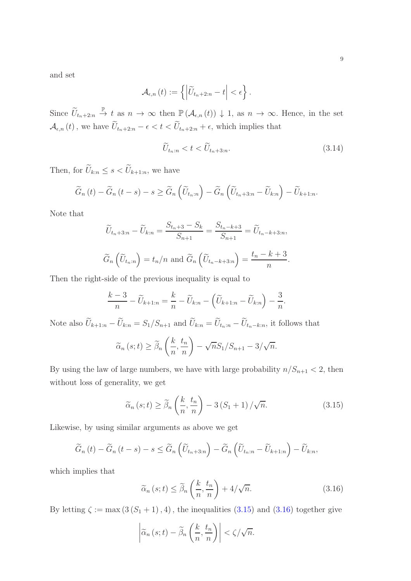and set

$$
\mathcal{A}_{\epsilon,n}(t) := \left\{ \left| \widetilde{U}_{t_n+2:n} - t \right| < \epsilon \right\}.
$$

Since  $\widetilde{U}_{t_n+2:n} \stackrel{\mathbb{P}}{\rightarrow} t$  as  $n \rightarrow \infty$  then  $\mathbb{P}(\mathcal{A}_{\epsilon,n}(t)) \downarrow 1$ , as  $n \rightarrow \infty$ . Hence, in the set  $\mathcal{A}_{\epsilon,n}\left(t\right),$  we have  $\widetilde{U}_{t_{n}+2:n}-\epsilon < t < \widetilde{U}_{t_{n}+2:n}+\epsilon,$  which implies that

<span id="page-8-2"></span>
$$
\widetilde{U}_{t_n:n} < t < \widetilde{U}_{t_n+3:n}.\tag{3.14}
$$

Then, for  $\widetilde{U}_{k:n} \leq s < \widetilde{U}_{k+1:n}$ , we have

$$
\widetilde{G}_n(t) - \widetilde{G}_n(t-s) - s \ge \widetilde{G}_n\left(\widetilde{U}_{t_n:n}\right) - \widetilde{G}_n\left(\widetilde{U}_{t_n+3:n} - \widetilde{U}_{k:n}\right) - \widetilde{U}_{k+1:n}.
$$

Note that

$$
\widetilde{U}_{t_n+3:n} - \widetilde{U}_{k:n} = \frac{S_{t_n+3} - S_k}{S_{n+1}} = \frac{S_{t_n-k+3}}{S_{n+1}} = \widetilde{U}_{t_n-k+3:n},
$$

$$
\widetilde{G}_n\left(\widetilde{U}_{t_n:n}\right) = t_n/n \text{ and } \widetilde{G}_n\left(\widetilde{U}_{t_n-k+3:n}\right) = \frac{t_n - k + 3}{n}.
$$

Then the right-side of the previous inequality is equal to

$$
\frac{k-3}{n} - \widetilde{U}_{k+1:n} = \frac{k}{n} - \widetilde{U}_{k:n} - \left(\widetilde{U}_{k+1:n} - \widetilde{U}_{k:n}\right) - \frac{3}{n}.
$$

Note also  $\widetilde{U}_{k+1:n} - \widetilde{U}_{k:n} = S_1/S_{n+1}$  and  $\widetilde{U}_{k:n} = \widetilde{U}_{t_n:n} - \widetilde{U}_{t_n-k:n}$ , it follows that

$$
\widetilde{\alpha}_n(s;t) \ge \widetilde{\beta}_n\left(\frac{k}{n},\frac{t_n}{n}\right) - \sqrt{n}S_1/S_{n+1} - 3/\sqrt{n}.
$$

By using the law of large numbers, we have with large probability  $n/S_{n+1} < 2$ , then without loss of generality, we get

<span id="page-8-0"></span>
$$
\widetilde{\alpha}_{n}(s;t) \geq \widetilde{\beta}_{n}\left(\frac{k}{n},\frac{t_{n}}{n}\right) - 3\left(S_{1} + 1\right)/\sqrt{n}.\tag{3.15}
$$

Likewise, by using similar arguments as above we get

$$
\widetilde{G}_n(t) - \widetilde{G}_n(t-s) - s \leq \widetilde{G}_n\left(\widetilde{U}_{t_n+3:n}\right) - \widetilde{G}_n\left(\widetilde{U}_{t_n:n} - \widetilde{U}_{k+1:n}\right) - \widetilde{U}_{k:n},
$$

which implies that

<span id="page-8-1"></span>
$$
\widetilde{\alpha}_{n}(s;t) \leq \widetilde{\beta}_{n}\left(\frac{k}{n},\frac{t_{n}}{n}\right) + 4/\sqrt{n}.\tag{3.16}
$$

By letting  $\zeta := \max(3(S_1 + 1), 4)$ , the inequalities  $(3.15)$  $(3.15)$  and  $(3.16)$  $(3.16)$  together give

$$
\left|\widetilde{\alpha}_n(s;t)-\widetilde{\beta}_n\left(\frac{k}{n},\frac{t_n}{n}\right)\right|<\zeta/\sqrt{n}.
$$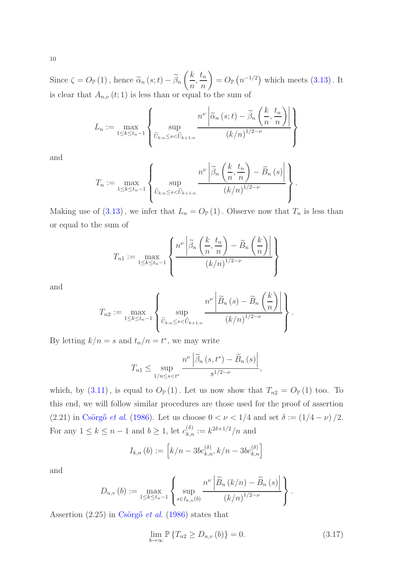Since  $\zeta = O_{\mathbb{P}}(1)$ , hence  $\widetilde{\alpha}_n(s;t) - \beta_n$  $\sqrt{k}$  $\overline{n}$  $\frac{t_n}{\cdot}$ n  $\setminus$  $= O_{\mathbb{P}}(n^{-1/2})$  which meets  $(3.13)$  $(3.13)$ . It is clear that  $A_{n,\nu}(t;1)$  is less than or equal to the sum of

$$
L_n := \max_{1 \le k \le t_n - 1} \left\{ \sup_{\widetilde{U}_{k:n} \le s < \widetilde{U}_{k+1:n}} \frac{n^{\nu} \left| \widetilde{\alpha}_n \left(s; t\right) - \widetilde{\beta}_n \left( \frac{k}{n}, \frac{t_n}{n} \right) \right|}{(k/n)^{1/2 - \nu}} \right\}
$$

and

$$
T_n := \max_{1 \leq k \leq t_n - 1} \left\{ \sup_{\widetilde{U}_{k:n} \leq s < \widetilde{U}_{k+1:n}} \frac{n^{\nu} \left| \widetilde{\beta}_n \left( \frac{k}{n}, \frac{t_n}{n} \right) - \widetilde{B}_n \left( s \right) \right|}{\left( k/n \right)^{1/2 - \nu}} \right\}.
$$

Making use of (3.[13\)](#page-7-0), we infer that  $L_n = O_{\mathbb{P}}(1)$ . Observe now that  $T_n$  is less than or equal to the sum of

$$
T_{n1} := \max_{1 \le k \le t_n - 1} \left\{ \frac{n^{\nu} \left| \widetilde{\beta}_n \left( \frac{k}{n}, \frac{t_n}{n} \right) - \widetilde{B}_n \left( \frac{k}{n} \right) \right|}{(k/n)^{1/2 - \nu}} \right\}
$$

and

$$
T_{n2} := \max_{1 \leq k \leq t_n-1} \left\{ \sup_{\widetilde{U}_{k:n} \leq s < \widetilde{U}_{k+1:n}} \frac{n^{\nu} \left| \widetilde{B}_n \left( s \right) - \widetilde{B}_n \left( \frac{k}{n} \right) \right|}{\left( k/n \right)^{1/2 - \nu}} \right\}.
$$

By letting  $k/n = s$  and  $t_n/n = t^*$ , we may write

$$
T_{n1} \leq \sup_{1/n \leq s < t^*} \frac{n^{\nu} \left| \widetilde{\beta}_n \left( s, t^* \right) - \widetilde{B}_n \left( s \right) \right|}{s^{1/2 - \nu}},
$$

which, by  $(3.11)$  $(3.11)$ , is equal to  $O_{\mathbb{P}}(1)$ . Let us now show that  $T_{n2} = O_{\mathbb{P}}(1)$  too. To this end, we will follow similar procedures are those used for the proof of assertion (2.21) in Csörgő et al. [\(1986\)](#page-13-0). Let us choose  $0 < \nu < 1/4$  and set  $\delta := (1/4 - \nu)/2$ . For any  $1 \leq k \leq n-1$  and  $b \geq 1$ , let  $c_{k,n}^{(\delta)} := k^{2\delta + 1/2}/n$  and

$$
I_{k,n}(b) := \left[k/n - 3bc_{k,n}^{(\delta)}, k/n - 3bc_{k,n}^{(\delta)}\right]
$$

and

$$
D_{n,\nu}(b) := \max_{1 \leq k \leq t_n-1} \left\{ \sup_{s \in I_{k,n}(b)} \frac{n^{\nu} \left| \widetilde{B}_n(k/n) - \widetilde{B}_n(s) \right|}{(k/n)^{1/2-\nu}} \right\}.
$$

Assertion  $(2.25)$  in Csörgő *et al.* [\(1986\)](#page-13-0) states that

<span id="page-9-0"></span>
$$
\lim_{b \to \infty} \mathbb{P} \{ T_{n2} \ge D_{n,\nu}(b) \} = 0.
$$
\n(3.17)

10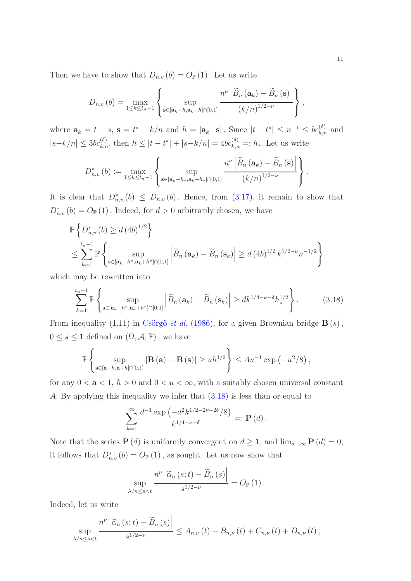Then we have to show that  $D_{n,v}(b) = O_{\mathbb{P}}(1)$ . Let us write

$$
D_{n,v}(b) = \max_{1 \leq k \leq t_n-1} \left\{ \sup_{\mathbf{s} \in [\mathbf{a}_k - h, \mathbf{a}_k + h] \cap [0,1]} \frac{n^{\nu} \left| \widetilde{B}_n(\mathbf{a}_k) - \widetilde{B}_n(\mathbf{s}) \right|}{\left(k/n\right)^{1/2-\nu}} \right\},
$$

where  $\mathbf{a}_k = t - s$ ,  $\mathbf{s} = t^* - k/n$  and  $h = |\mathbf{a}_k - \mathbf{s}|$ . Since  $|t - t^*| \leq n^{-1} \leq bc_{k,n}^{(\delta)}$  and  $|s-k/n| \leq 3bc_{k,n}^{(\delta)}$ , then  $h \leq |t-t^*| + |s-k/n| = 4bc_{k,n}^{(\delta)} =: h_*$ . Let us write

$$
D_{n,\nu}^{*}\left(b\right) := \max_{1 \leq k \leq t_{n}-1} \left\{\sup_{\mathbf{s} \in [\mathbf{a}_{k}-h_{*}, \mathbf{a}_{k}+h_{*}] \cap [0,1]} \frac{n^{\nu} \left|\widetilde{B}_{n}\left(\mathbf{a}_{k}\right)-\widetilde{B}_{n}\left(\mathbf{s}\right)\right|}{\left(k/n\right)^{1/2-\nu}}\right\}.
$$

It is clear that  $D^*_{n,v}(b) \leq D_{n,v}(b)$ . Hence, from (3.[17\)](#page-9-0), it remain to show that  $D_{n,v}^*(b) = O_{\mathbb{P}}(1)$ . Indeed, for  $d > 0$  arbitrarily chosen, we have

$$
\mathbb{P}\left\{D_{n,v}^*(b) \ge d \left(4b\right)^{1/2}\right\}
$$
\n
$$
\le \sum_{k=1}^{t_n-1} \mathbb{P}\left\{\sup_{\mathbf{s}\in[\mathbf{a}_k - h^*, \mathbf{a}_k + h^*] \cap [0,1]} \left|\widetilde{B}_n\left(\mathbf{a}_k\right) - \widetilde{B}_n\left(\mathbf{s}_k\right)\right| \ge d \left(4b\right)^{1/2} k^{1/2-\nu} n^{-1/2}\right\}
$$

which may be rewritten into

<span id="page-10-0"></span>
$$
\sum_{k=1}^{t_n-1} \mathbb{P}\left\{\sup_{\mathbf{s}\in[\mathbf{a}_k-h^*,\mathbf{a}_k+h^*]\cap[0,1]} \left|\widetilde{B}_n\left(\mathbf{a}_k\right)-\widetilde{B}_n\left(\mathbf{s}_k\right)\right| \ge dk^{1/4-\nu-\delta}h_*^{1/2}\right\}.
$$
 (3.18)

From inequality (1.11) in Csörgő et al. [\(1986\)](#page-13-0), for a given Brownian bridge  $B(s)$ ,  $0 \leq s \leq 1$  defined on  $(\Omega, \mathcal{A}, \mathbb{P})$ , we have

$$
\mathbb{P}\left\{\sup_{\mathbf{s}\in[\mathbf{a}-h,\mathbf{a}+h]\cap[0,1]}|\mathbf{B}\left(\mathbf{a}\right)-\mathbf{B}\left(\mathbf{s}\right)|\geq uh^{1/2}\right\}\leq Au^{-1}\exp\left(-u^2/8\right),
$$

for any  $0 < a < 1$ ,  $h > 0$  and  $0 < u < \infty$ , with a suitably chosen universal constant A. By applying this inequality we infer that (3.[18\)](#page-10-0) is less than or equal to

$$
\sum_{k=1}^{\infty} \frac{d^{-1} \exp(-d^2 k^{1/2 - 2\nu - 2\delta}/8)}{k^{1/4 - \nu - \delta}} =: \mathbf{P}(d) .
$$

Note that the series  $P(d)$  is uniformly convergent on  $d \geq 1$ , and  $\lim_{d\to\infty} P(d) = 0$ , it follows that  $D_{n,v}^*(b) = O_{\mathbb{P}}(1)$ , as sought. Let us now show that

$$
\sup_{\lambda/n \le s < t} \frac{n^{\nu} \left| \widetilde{\alpha}_n \left( s; t \right) - \widetilde{B}_n \left( s \right) \right|}{s^{1/2 - \nu}} = O_{\mathbb{P}} \left( 1 \right).
$$

Indeed, let us write

$$
\sup_{\lambda/n\leq s
$$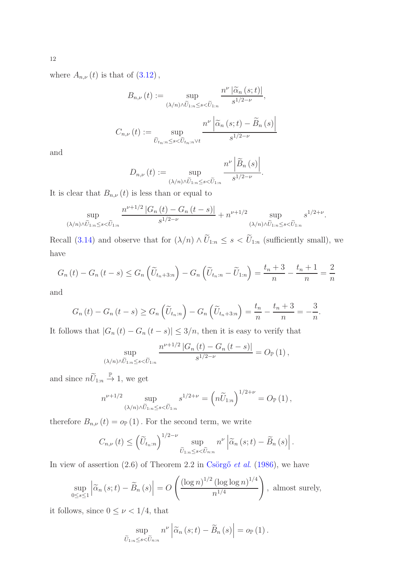where  $A_{n,\nu}(t)$  is that of  $(3.12)$  $(3.12)$ ,

$$
B_{n,\nu}(t) := \sup_{(\lambda/n)\wedge \widetilde{U}_{1:n} \le s < \widetilde{U}_{1:n}} \frac{n^{\nu} |\widetilde{\alpha}_n(s;t)|}{s^{1/2-\nu}},
$$

$$
C_{n,\nu}(t) := \sup_{\widetilde{U}_{t_n:n} \le s < \widetilde{U}_{t_n:n} \vee t} \frac{n^{\nu} |\widetilde{\alpha}_n(s;t) - \widetilde{B}_n(s)|}{s^{1/2-\nu}}
$$

and

$$
D_{n,\nu}(t) := \sup_{(\lambda/n)\wedge \tilde{U}_{1:n}\leq s<\tilde{U}_{1:n}} \frac{n^{\nu} \left|\widetilde{B}_{n}(s)\right|}{s^{1/2-\nu}}.
$$

It is clear that  $B_{n,\nu}(t)$  is less than or equal to

$$
\sup_{(\lambda/n)\wedge \tilde{U}_{1:n}\leq s<\tilde{U}_{1:n}}\frac{n^{\nu+1/2}|G_n(t)-G_n(t-s)|}{s^{1/2-\nu}}+n^{\nu+1/2}\sup_{(\lambda/n)\wedge \tilde{U}_{1:n}\leq s<\tilde{U}_{1:n}}s^{1/2+\nu}.
$$

Recall (3.[14\)](#page-8-2) and observe that for  $(\lambda/n) \wedge \tilde{U}_{1:n} \leq s < \tilde{U}_{1:n}$  (sufficiently small), we have

$$
G_n(t) - G_n(t-s) \le G_n\left(\widetilde{U}_{t_n+3:n}\right) - G_n\left(\widetilde{U}_{t_n:n} - \widetilde{U}_{1:n}\right) = \frac{t_n+3}{n} - \frac{t_n+1}{n} = \frac{2}{n}
$$

and

$$
G_n(t) - G_n(t-s) \ge G_n\left(\widetilde{U}_{t_n:n}\right) - G_n\left(\widetilde{U}_{t_n+3:n}\right) = \frac{t_n}{n} - \frac{t_n+3}{n} = -\frac{3}{n}.
$$

It follows that  $|G_n(t) - G_n(t - s)| \leq 3/n$ , then it is easy to verify that

$$
\sup_{(\lambda/n)\wedge \tilde{U}_{1:n}\leq s<\tilde{U}_{1:n}}\frac{n^{\nu+1/2}\left|G_n\left(t\right)-G_n\left(t-s\right)\right|}{s^{1/2-\nu}}=O_{\mathbb{P}}\left(1\right),
$$

and since  $n\widetilde{U}_{1:n} \stackrel{\mathbb{P}}{\rightarrow} 1$ , we get

$$
n^{\nu+1/2} \sup_{(\lambda/n)\wedge \widetilde{U}_{1:n}\leq s<\widetilde{U}_{1:n}} s^{1/2+\nu} = \left(n\widetilde{U}_{1:n}\right)^{1/2+\nu} = O_{\mathbb{P}}\left(1\right),
$$

therefore  $B_{n,\nu}\left(t\right)=o_\mathbb{P}\left(1\right).$  For the second term, we write

$$
C_{n,\nu}(t) \leq \left(\widetilde{U}_{t_n:n}\right)^{1/2-\nu} \sup_{\widetilde{U}_{1:n} \leq s < \widetilde{U}_{n:n}} n^{\nu} \left| \widetilde{\alpha}_n \left(s;t\right) - \widetilde{B}_n \left(s\right) \right|.
$$

In view of assertion  $(2.6)$  of Theorem 2.2 in Csörgő *et al.* [\(1986\)](#page-13-0), we have

$$
\sup_{0\leq s\leq 1} \left| \widetilde{\alpha}_n(s;t) - \widetilde{B}_n(s) \right| = O\left(\frac{(\log n)^{1/2} (\log \log n)^{1/4}}{n^{1/4}}\right), \text{ almost surely,}
$$

it follows, since  $0 \leq \nu < 1/4,$  that

$$
\sup_{\widetilde{U}_{1:n}\leq s<\widetilde{U}_{n:n}} n^{\nu} \left|\widetilde{\alpha}_n(s;t)-\widetilde{B}_n(s)\right|=o_{\mathbb{P}}(1).
$$

12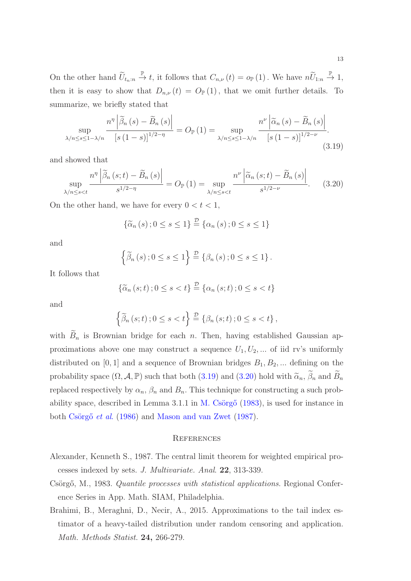On the other hand  $\widetilde{U}_{t_n:n} \stackrel{\mathbb{P}}{\rightarrow} t$ , it follows that  $C_{n,\nu}(t) = o_{\mathbb{P}}(1)$ . We have  $n\widetilde{U}_{1:n} \stackrel{\mathbb{P}}{\rightarrow} 1$ , then it is easy to show that  $D_{n,\nu}(t) = O_{\mathbb{P}}(1)$ , that we omit further details. To summarize, we briefly stated that

<span id="page-12-2"></span>
$$
\sup_{\lambda/n \le s \le 1 - \lambda/n} \frac{n^{\eta} \left| \widetilde{\beta}_n \left( s \right) - \widetilde{B}_n \left( s \right) \right|}{\left[ s \left( 1 - s \right) \right]^{1/2 - \eta}} = O_{\mathbb{P}}(1) = \sup_{\lambda/n \le s \le 1 - \lambda/n} \frac{n^{\nu} \left| \widetilde{\alpha}_n \left( s \right) - \widetilde{B}_n \left( s \right) \right|}{\left[ s \left( 1 - s \right) \right]^{1/2 - \nu}}.
$$
\n(3.19)

and showed that

<span id="page-12-3"></span>
$$
\sup_{\lambda/n \le s < t} \frac{n^{\eta} \left| \widetilde{\beta}_n \left( s; t \right) - \widetilde{B}_n \left( s \right) \right|}{s^{1/2 - \eta}} = O_{\mathbb{P}}\left( 1 \right) = \sup_{\lambda/n \le s < t} \frac{n^{\nu} \left| \widetilde{\alpha}_n \left( s; t \right) - \widetilde{B}_n \left( s \right) \right|}{s^{1/2 - \nu}}. \tag{3.20}
$$

On the other hand, we have for every  $0 < t < 1$ ,

$$
\{\widetilde{\alpha}_n\left(s\right);0\leq s\leq 1\}\stackrel{\mathcal{D}}{=} \{\alpha_n\left(s\right);0\leq s\leq 1\}
$$

and

$$
\left\{\widetilde{\beta}_{n}(s):0\leq s\leq 1\right\}\stackrel{\mathcal{D}}{=} \left\{\beta_{n}(s):0\leq s\leq 1\right\}.
$$

It follows that

$$
\{\widetilde{\alpha}_n(s;t);0\leq s
$$

and

$$
\left\{\widetilde{\beta}_n\left(s;t\right);0\leq s
$$

with  $\widetilde{B}_n$  is Brownian bridge for each n. Then, having established Gaussian approximations above one may construct a sequence  $U_1, U_2, \dots$  of iid rv's uniformly distributed on [0, 1] and a sequence of Brownian bridges  $B_1, B_2, \dots$  defining on the probability space  $(\Omega, \mathcal{A}, \mathbb{P})$  such that both  $(3.19)$  $(3.19)$  and  $(3.20)$  $(3.20)$  hold with  $\widetilde{\alpha}_n$ ,  $\widetilde{\beta}_n$  and  $\widetilde{B}_n$ replaced respectively by  $\alpha_n$ ,  $\beta_n$  and  $B_n$ . This technique for constructing a such probability space, described in Lemma 3.1.1 in M. Csörgő  $(1983)$ , is used for instance in both Csörgő et al. [\(1986](#page-13-0)) and [Mason and van Zwet](#page-13-1) [\(1987](#page-13-1)).

#### **REFERENCES**

- <span id="page-12-0"></span>Alexander, Kenneth S., 1987. The central limit theorem for weighted empirical processes indexed by sets. J. Multivariate. Anal. 22, 313-339.
- <span id="page-12-4"></span>Csörgő, M., 1983. *Quantile processes with statistical applications*. Regional Conference Series in App. Math. SIAM, Philadelphia.
- <span id="page-12-1"></span>Brahimi, B., Meraghni, D., Necir, A., 2015. Approximations to the tail index estimator of a heavy-tailed distribution under random censoring and application. Math. Methods Statist. **24**, 266-279.